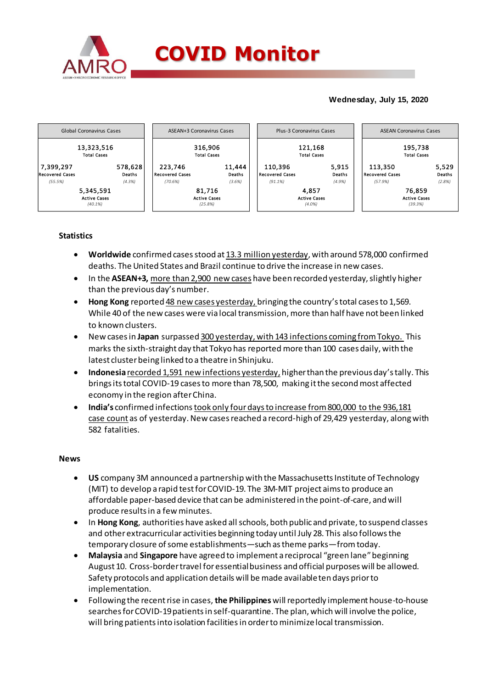

### **Wednesday, July 15, 2020**



## **Statistics**

- **Worldwide** confirmed cases stood at 13.3 million yesterday, with around 578,000 confirmed deaths. The United States and Brazil continue to drive the increase in new cases.
- In the **ASEAN+3**, more than 2,900 new cases have been recorded yesterday, slightly higher than the previous day's number.
- **Hong Kong** reported 48 new cases yesterday, bringing the country's total cases to 1,569. While 40 of the new cases were via local transmission, more than half have not been linked to known clusters.
- New cases in **Japan** surpassed 300 yesterday, with 143 infections coming from Tokyo. This marks the sixth-straight day that Tokyo has reported more than 100 cases daily, with the latest cluster being linked to a theatre in Shinjuku.
- **Indonesia** recorded 1,591 new infections yesterday, higher than the previous day's tally. This brings its total COVID-19 cases to more than 78,500, making it the second most affected economy in the region after China.
- **India's** confirmed infectionstook only fourdays to increase from 800,000 to the 936,181 case count as of yesterday. New cases reached a record-high of 29,429 yesterday, along with 582 fatalities.

#### **News**

- **US** company 3M announced a partnership with the Massachusetts Institute of Technology (MIT) to develop a rapid test for COVID-19. The 3M-MIT project aims to produce an affordable paper-based device that can be administered in the point-of-care, and will produce results in a few minutes.
- In Hong Kong, authorities have asked all schools, both public and private, to suspend classes and otherextracurricular activities beginning today until July 28. This also followsthe temporary closure ofsome establishments—such astheme parks—fromtoday.
- **Malaysia** and **Singapore** have agreed to implement a reciprocal "green lane"beginning August 10. Cross-border travel for essential business and official purposes will be allowed. Safety protocols and application details will be made available ten days prior to implementation.
- Following the recent rise in cases, **the Philippines** will reportedly implement house-to-house searches for COVID-19 patientsin self-quarantine. The plan, which will involve the police, will bring patients into isolation facilities in order to minimize local transmission.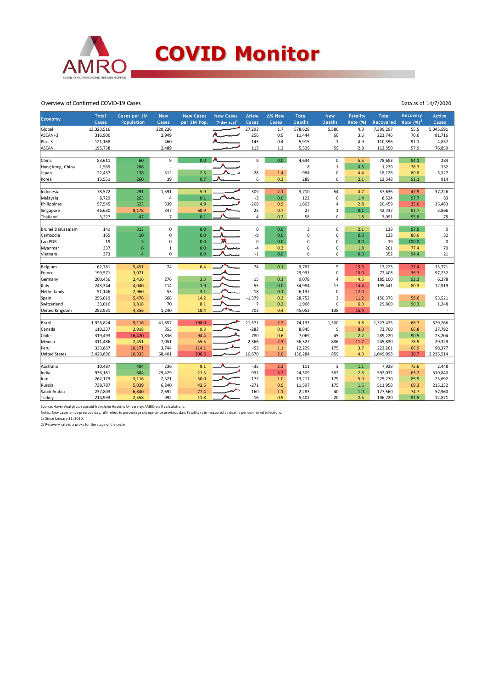

#### Overview of Confirmed COVID-19 Cases

| Economy               | Total      | Cases per 1M    | <b>New</b>     | <b>New Cases</b> | <b>New Cases</b> | <b>ANew</b>    | ∆% New                   | <b>Total</b>  | <b>New</b>    | <b>Fatality</b> | <b>Total</b> | Recovery                 | Active      |
|-----------------------|------------|-----------------|----------------|------------------|------------------|----------------|--------------------------|---------------|---------------|-----------------|--------------|--------------------------|-------------|
|                       | Cases      | Population      | Cases          | per 1M Pop.      | $(7-day avg)^1$  | Cases          | Cases                    | <b>Deaths</b> | <b>Deaths</b> | Rate (%)        | Recovered    | Rate $(%)2$              | Cases       |
| Global                | 13,323,516 |                 | 220,226        |                  |                  | 27,293         | 1.7                      | 578,628       | 5,586         | 4.3             | 7,399,297    | 55.5                     | 5,345,591   |
| ASEAN+3               | 316,906    |                 | 2,949          |                  |                  | 256            | 0.9                      | 11,444        | 60            | 3.6             | 223,746      | 70.6                     | 81,716      |
| Plus-3                | 121,168    |                 | 460            |                  |                  | 143            | 0.4                      | 5,915         | $\mathbf{1}$  | 4.9             | 110,396      | 91.1                     | 4,857       |
| ASEAN                 | 195,738    |                 | 2,489          |                  |                  | 113            | 1.3                      | 5,529         | 59            | 2.8             | 113,350      | 57.9                     | 76,859      |
| China                 | 83,611     | 60              | 9              | 0.0              |                  | 9              | 0.0                      | 4,634         | $\pmb{0}$     | 5.5             | 78,693       | 94.1                     | 284         |
| Hong Kong, China      | 1,569      | 206             |                |                  |                  | $\sim$         | $\overline{\phantom{a}}$ | 8             | $\mathbf{1}$  | 0.5             | 1,229        | 78.3                     | 332         |
| Japan                 | 22,437     | 178             | 312            | 2.5              |                  | 28             | 1.4                      | 984           | $\pmb{0}$     | 4.4             | 18,126       | 80.8                     | 3,327       |
| Korea                 | 13,551     | 260             | 39             | 0.7              |                  | 6              | 0.3                      | 289           | 0             | 2.1             | 12,348       | 91.1                     | 914         |
| Indonesia             | 78,572     | 291             | 1,591          | 5.9              |                  | 309            | 2.1                      | 3,710         | 54            | 4.7             | 37,636       | 47.9                     | 37,226      |
| Malaysia              | 8,729      | 263             | $\overline{4}$ | 0.1              |                  | $-3$           | 0.0                      | 122           | $\mathbf 0$   | 1.4             | 8,524        | 97.7                     | 83          |
| Philippines           | 57,545     | 523             | 539            | 4.9              |                  | $-208$         | 0.9                      | 1,603         | 4             | 2.8             | 20,459       | 35.6                     | 35,483      |
| Singapore             | 46,630     | 8,178           | 347            | 60.9             |                  | 25             | 0.7                      | 27            | $\mathbf 1$   | 0.1             | 42,737       | 91.7                     | 3,866       |
| Thailand              | 3,227      | 47              | $\overline{7}$ | 0.1              |                  | 4              | 0.2                      | 58            | 0             | $1.8\,$         | 3,091        | 95.8                     | 78          |
|                       |            |                 |                |                  |                  |                |                          |               |               |                 |              |                          |             |
| Brunei Darussalam     | 141        | 313             | $\mathbf 0$    | 0.0              |                  | 0              | 0.0                      | 3             | $\pmb{0}$     | 2.1             | 138          | 97.9                     | $\mathsf 0$ |
| Cambodia              | 165        | $10\,$          | 0              | 0.0              |                  | -9             | 0.0                      | $\mathbf 0$   | $\pmb{0}$     | 0.0             | 133          | 80.6                     | 32          |
| Lao PDR               | 19         | $\overline{3}$  | 0              | 0.0              | 縏                | 0              | 0.0                      | $\mathbf 0$   | 0             | 0.0             | 19           | 100.0                    | $\mathsf 0$ |
| Myanmar               | 337        | $6\phantom{1}6$ | $\mathbf 1$    | 0.0              | Namm             | -4             | 0.3                      | 6             | $\pmb{0}$     | 1.8             | 261          | 77.4                     | 70          |
| Vietnam               | 373        | $\overline{4}$  | 0              | 0.0              |                  | $-1$           | 0.0                      | $\mathbf 0$   | 0             | 0.0             | 352          | 94.4                     | 21          |
| Belgium               | 62,781     | 5,451           | 74             | 6.4              |                  | 74             | 0.1                      | 9,787         | 5             | 15.6            | 17,223       | 27.4                     | 35,771      |
| France                | 199,571    | 3,071           |                |                  |                  | $\sim$         | $\cdot$                  | 29,931        | $\pmb{0}$     | 15.0            | 72,408       | 36.3                     | 97,232      |
| Germany               | 200,456    | 2,416           | 276            | 3.3              |                  | 15             | 0.1                      | 9,078         | 4             | 4.5             | 185,100      | 92.3                     | 6,278       |
| <b>Italy</b>          | 243,344    | 4,040           | 114            | 1.9              |                  | $-55$          | 0.0                      | 34,984        | 17            | 14.4            | 195,441      | 80.3                     | 12,919      |
| Netherlands           | 51,146     | 2,960           | 53             | 3.1              |                  | $-18$          | 0.1                      | 6,137         | 0             | 12.0            |              | $\overline{\phantom{a}}$ |             |
| Spain                 | 256,619    | 5,476           | 666            | 14.2             |                  | $-1,379$       | 0.3                      | 28,752        | 3             | 11.2            | 150,376      | 58.6                     | 53,521      |
| Switzerland           | 33,016     | 3,818           | 70             | 8.1              |                  | $\overline{7}$ | 0.2                      | 1,968         | $\mathbf 0$   | 6.0             | 29,800       | 90.3                     | 1,248       |
| <b>United Kingdom</b> | 292,931    | 4,356           | 1,240          | 18.4             |                  | 703            | 0.4                      | 45,053        | 138           | 15.4            |              | ٠                        |             |
|                       |            |                 |                |                  |                  |                |                          |               |               |                 |              |                          |             |
| Brazil                | 1,926,824  | 9,116           | 41,857         | 198.0            |                  | 21,571         | 2.2                      | 74,133        | 1,300         | 3.8             | 1,323,425    | 68.7                     | 529,266     |
| Canada                | 110,337    | 2,918           | 353            | 9.3              |                  | $-283$         | 0.3                      | 8,845         | 9             | 8.0             | 73,700       | 66.8                     | 27,792      |
| Chile                 | 319,493    | 16,420          | 1,836          | 94.4             |                  | $-780$         | 0.6                      | 7,069         | 45            | 2.2             | 289,220      | 90.5                     | 23,204      |
| Mexico                | 311,486    | 2,451           | 7,051          | 55.5             |                  | 2,366          | 2.3                      | 36,327        | 836           | 11.7            | 245,830      | 78.9                     | 29,329      |
| Peru                  | 333,867    | 10,171          | 3,744          | 114.1            |                  | $-53$          | 1.1                      | 12,229        | 175           | 3.7             | 223,261      | 66.9                     | 98,377      |
| <b>United States</b>  | 3,420,896  | 10,333          | 68,401         | 206.6            |                  | 10,670         | 2.0                      | 136,284       | 859           | 4.0             | 1,049,098    | 30.7                     | 2,235,514   |
| Australia             | 10,487     | 404             | 236            | 9.1              |                  | $-35$          | 2.3                      | 111           | 3             | 1.1             | 7,928        | 75.6                     | 2,448       |
| India                 | 936,181    | 684             | 29,429         | 21.5             |                  | 931            | 3.2                      | 24,309        | 582           | 2.6             | 592,032      | 63.2                     | 319,840     |
| Iran                  | 262,173    | 3,116           | 2,521          | 30.0             |                  | 172            | 1.0                      | 13,211        | 179           | 5.0             | 225,270      | 85.9                     | 23,692      |
| Russia                | 738,787    | 5,039           | 6,240          | 42.6             |                  | $-271$         | 0.9                      | 11,597        | 175           | 1.6             | 511,958      | 69.3                     | 215,232     |
| Saudi Arabia          | 237,803    | 6,840           | 2,692          | 77.4             |                  | $-160$         | 1.1                      | 2,283         | 40            | 1.0             | 177,560      | 74.7                     | 57,960      |
| Turkey                | 214,993    | 2,558           | 992            | 11.8             |                  | $-16$          | 0.5                      | 5,402         | 20            | 2.5             | 196,720      | 91.5                     | 12,871      |
|                       |            |                 |                |                  |                  |                |                          |               |               |                 |              |                          |             |

Source: Haver Analytics, sourced from John Hopkins University; AMRO staff calculations.

Notes: New cases since previous day. ∆% refers to percentage change since previous day. Fatality rate measured as deaths per confirmed infections.<br>1/ Since January 31, 2020.<br>2/ Recovery rate is a proxy for the stage of the

Data as of 14/7/2020